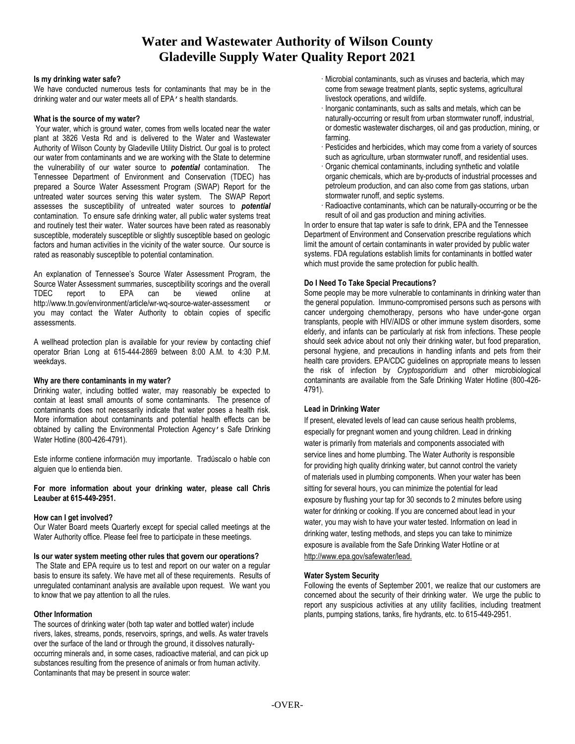# **Water and Wastewater Authority of Wilson County Gladeville Supply Water Quality Report 2021**

#### **Is my drinking water safe?**

We have conducted numerous tests for contaminants that may be in the drinking water and our water meets all of EPA's health standards.

#### **What is the source of my water?**

Your water, which is ground water, comes from wells located near the water plant at 3826 Vesta Rd and is delivered to the Water and Wastewater Authority of Wilson County by Gladeville Utility District. Our goal is to protect our water from contaminants and we are working with the State to determine the vulnerability of our water source to *potential* contamination. The Tennessee Department of Environment and Conservation (TDEC) has prepared a Source Water Assessment Program (SWAP) Report for the untreated water sources serving this water system. The SWAP Report assesses the susceptibility of untreated water sources to *potential* contamination. To ensure safe drinking water, all public water systems treat and routinely test their water. Water sources have been rated as reasonably susceptible, moderately susceptible or slightly susceptible based on geologic factors and human activities in the vicinity of the water source. Our source is rated as reasonably susceptible to potential contamination.

An explanation of Tennessee's Source Water Assessment Program, the Source Water Assessment summaries, susceptibility scorings and the overall<br>
TDEC report to EPA can be viewed online at TDEC report to EPA can be viewed online at http://www.tn.gov/environment/article/wr-wq-source-water-assessment or you may contact the Water Authority to obtain copies of specific assessments.

A wellhead protection plan is available for your review by contacting chief operator Brian Long at 615-444-2869 between 8:00 A.M. to 4:30 P.M. weekdays.

### **Why are there contaminants in my water?**

Drinking water, including bottled water, may reasonably be expected to contain at least small amounts of some contaminants. The presence of contaminants does not necessarily indicate that water poses a health risk. More information about contaminants and potential health effects can be obtained by calling the Environmental Protection Agency's Safe Drinking Water Hotline (800-426-4791).

Este informe contiene información muy importante. Tradúscalo o hable con alguien que lo entienda bien.

**For more information about your drinking water, please call Chris Leauber at 615-449-2951.**

### **How can I get involved?**

Our Water Board meets Quarterly except for special called meetings at the Water Authority office. Please feel free to participate in these meetings.

### **Is our water system meeting other rules that govern our operations?**

The State and EPA require us to test and report on our water on a regular basis to ensure its safety. We have met all of these requirements. Results of unregulated contaminant analysis are available upon request. We want you to know that we pay attention to all the rules.

### **Other Information**

The sources of drinking water (both tap water and bottled water) include rivers, lakes, streams, ponds, reservoirs, springs, and wells. As water travels over the surface of the land or through the ground, it dissolves naturallyoccurring minerals and, in some cases, radioactive material, and can pick up substances resulting from the presence of animals or from human activity. Contaminants that may be present in source water:

- · Microbial contaminants, such as viruses and bacteria, which may come from sewage treatment plants, septic systems, agricultural livestock operations, and wildlife.
- · Inorganic contaminants, such as salts and metals, which can be naturally-occurring or result from urban stormwater runoff, industrial, or domestic wastewater discharges, oil and gas production, mining, or farming.
- · Pesticides and herbicides, which may come from a variety of sources such as agriculture, urban stormwater runoff, and residential uses.
- · Organic chemical contaminants, including synthetic and volatile organic chemicals, which are by-products of industrial processes and petroleum production, and can also come from gas stations, urban stormwater runoff, and septic systems.
- · Radioactive contaminants, which can be naturally-occurring or be the result of oil and gas production and mining activities.

In order to ensure that tap water is safe to drink, EPA and the Tennessee Department of Environment and Conservation prescribe regulations which limit the amount of certain contaminants in water provided by public water systems. FDA regulations establish limits for contaminants in bottled water which must provide the same protection for public health.

### **Do I Need To Take Special Precautions?**

Some people may be more vulnerable to contaminants in drinking water than the general population. Immuno-compromised persons such as persons with cancer undergoing chemotherapy, persons who have under-gone organ transplants, people with HIV/AIDS or other immune system disorders, some elderly, and infants can be particularly at risk from infections. These people should seek advice about not only their drinking water, but food preparation, personal hygiene, and precautions in handling infants and pets from their health care providers. EPA/CDC guidelines on appropriate means to lessen the risk of infection by *Cryptosporidium* and other microbiological contaminants are available from the Safe Drinking Water Hotline (800-426- 4791).

### **Lead in Drinking Water**

If present, elevated levels of lead can cause serious health problems, especially for pregnant women and young children. Lead in drinking water is primarily from materials and components associated with service lines and home plumbing. The Water Authority is responsible for providing high quality drinking water, but cannot control the variety of materials used in plumbing components. When your water has been sitting for several hours, you can minimize the potential for lead exposure by flushing your tap for 30 seconds to 2 minutes before using water for drinking or cooking. If you are concerned about lead in your water, you may wish to have your water tested. Information on lead in drinking water, testing methods, and steps you can take to minimize exposure is available from the Safe Drinking Water Hotline or at [http://www.epa.gov/safewater/lead.](http://www.epa.gov/safewater/lead)

### **Water System Security**

Following the events of September 2001, we realize that our customers are concerned about the security of their drinking water. We urge the public to report any suspicious activities at any utility facilities, including treatment plants, pumping stations, tanks, fire hydrants, etc. to 615-449-2951.